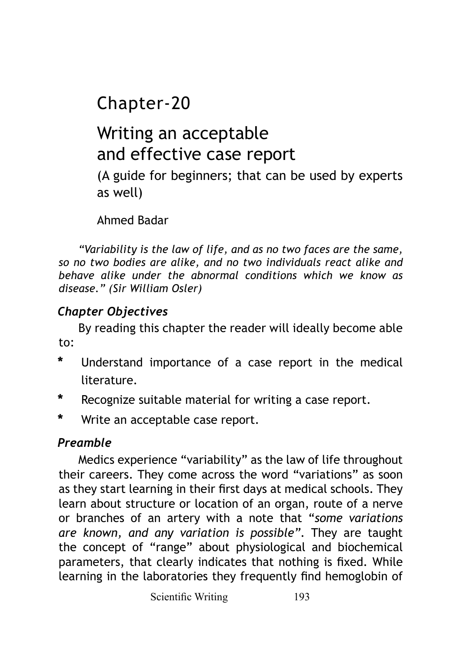Chapter-20

# Writing an acceptable and effective case report

(A guide for beginners; that can be used by experts as well)

Ahmed Badar

*"Variability is the law of life, and as no two faces are the same, so no two bodies are alike, and no two individuals react alike and behave alike under the abnormal conditions which we know as disease." (Sir William Osler)*

## *Chapter Objectives*

By reading this chapter the reader will ideally become able to:

- **\*** Understand importance of a case report in the medical literature.
- **\*** Recognize suitable material for writing a case report.
- **\*** Write an acceptable case report.

# *Preamble*

Medics experience "variability" as the law of life throughout their careers. They come across the word "variations" as soon as they start learning in their first days at medical schools. They learn about structure or location of an organ, route of a nerve or branches of an artery with a note that "*some variations are known, and any variation is possible"*. They are taught the concept of "range" about physiological and biochemical parameters, that clearly indicates that nothing is fixed. While learning in the laboratories they frequently find hemoglobin of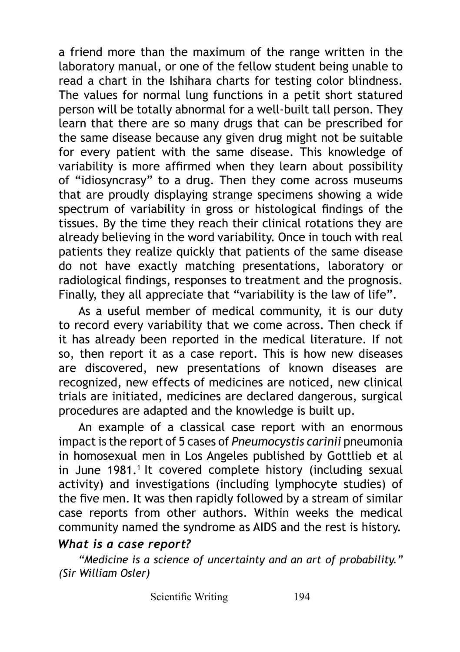a friend more than the maximum of the range written in the laboratory manual, or one of the fellow student being unable to read a chart in the Ishihara charts for testing color blindness. The values for normal lung functions in a petit short statured person will be totally abnormal for a well-built tall person. They learn that there are so many drugs that can be prescribed for the same disease because any given drug might not be suitable for every patient with the same disease. This knowledge of variability is more affirmed when they learn about possibility of "idiosyncrasy" to a drug. Then they come across museums that are proudly displaying strange specimens showing a wide spectrum of variability in gross or histological findings of the tissues. By the time they reach their clinical rotations they are already believing in the word variability. Once in touch with real patients they realize quickly that patients of the same disease do not have exactly matching presentations, laboratory or radiological findings, responses to treatment and the prognosis. Finally, they all appreciate that "variability is the law of life".

As a useful member of medical community, it is our duty to record every variability that we come across. Then check if it has already been reported in the medical literature. If not so, then report it as a case report. This is how new diseases are discovered, new presentations of known diseases are recognized, new effects of medicines are noticed, new clinical trials are initiated, medicines are declared dangerous, surgical procedures are adapted and the knowledge is built up.

An example of a classical case report with an enormous impact is the report of 5 cases of *Pneumocystis carinii* pneumonia in homosexual men in Los Angeles published by Gottlieb et al in June 1981.<sup>1</sup> It covered complete history (including sexual activity) and investigations (including lymphocyte studies) of the five men. It was then rapidly followed by a stream of similar case reports from other authors. Within weeks the medical community named the syndrome as AIDS and the rest is history.

#### *What is a case report?*

*"Medicine is a science of uncertainty and an art of probability." (Sir William Osler)*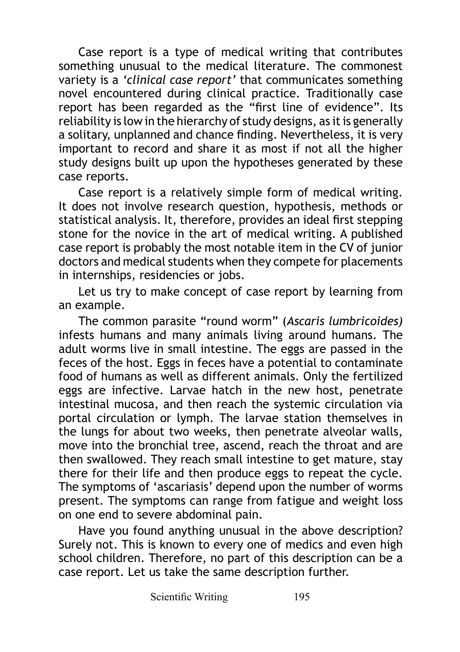Case report is a type of medical writing that contributes something unusual to the medical literature. The commonest variety is a *'clinical case report'* that communicates something novel encountered during clinical practice. Traditionally case report has been regarded as the "first line of evidence". Its reliability is low in the hierarchy of study designs, as it is generally a solitary, unplanned and chance finding. Nevertheless, it is very important to record and share it as most if not all the higher study designs built up upon the hypotheses generated by these case reports.

Case report is a relatively simple form of medical writing. It does not involve research question, hypothesis, methods or statistical analysis. It, therefore, provides an ideal first stepping stone for the novice in the art of medical writing. A published case report is probably the most notable item in the CV of junior doctors and medical students when they compete for placements in internships, residencies or jobs.

Let us try to make concept of case report by learning from an example.

The common parasite "round worm" (*Ascaris lumbricoides)* infests humans and many animals living around humans. The adult worms live in small intestine. The eggs are passed in the feces of the host. Eggs in feces have a potential to contaminate food of humans as well as different animals. Only the fertilized eggs are infective. Larvae hatch in the new host, penetrate intestinal mucosa, and then reach the systemic circulation via portal circulation or lymph. The larvae station themselves in the lungs for about two weeks, then penetrate alveolar walls, move into the bronchial tree, ascend, reach the throat and are then swallowed. They reach small intestine to get mature, stay there for their life and then produce eggs to repeat the cycle. The symptoms of 'ascariasis' depend upon the number of worms present. The symptoms can range from fatigue and weight loss on one end to severe abdominal pain.

Have you found anything unusual in the above description? Surely not. This is known to every one of medics and even high school children. Therefore, no part of this description can be a case report. Let us take the same description further.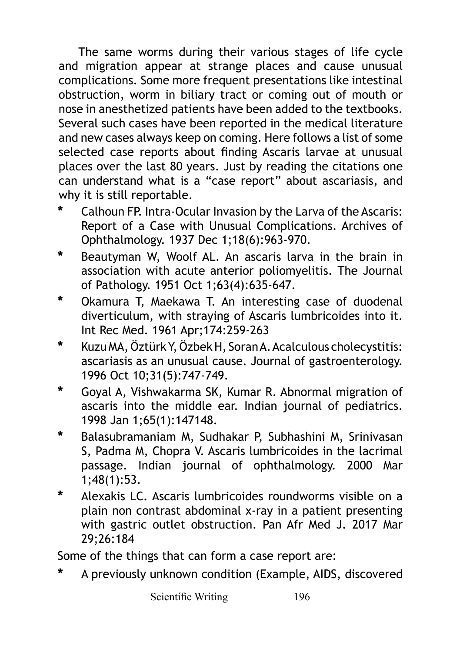The same worms during their various stages of life cycle and migration appear at strange places and cause unusual complications. Some more frequent presentations like intestinal obstruction, worm in biliary tract or coming out of mouth or nose in anesthetized patients have been added to the textbooks. Several such cases have been reported in the medical literature and new cases always keep on coming. Here follows a list of some selected case reports about finding Ascaris larvae at unusual places over the last 80 years. Just by reading the citations one can understand what is a "case report" about ascariasis, and why it is still reportable.

- **\*** Calhoun FP. Intra-Ocular Invasion by the Larva of the Ascaris: Report of a Case with Unusual Complications. Archives of Ophthalmology. 1937 Dec 1;18(6):963-970.
- **\*** Beautyman W, Woolf AL. An ascaris larva in the brain in association with acute anterior poliomyelitis. The Journal of Pathology. 1951 Oct 1;63(4):635-647.
- **\*** Okamura T, Maekawa T. An interesting case of duodenal diverticulum, with straying of Ascaris lumbricoides into it. Int Rec Med. 1961 Apr;174:259-263
- **\*** Kuzu MA, Öztürk Y, Özbek H, Soran A. Acalculous cholecystitis: ascariasis as an unusual cause. Journal of gastroenterology. 1996 Oct 10;31(5):747-749.
- **\*** Goyal A, Vishwakarma SK, Kumar R. Abnormal migration of ascaris into the middle ear. Indian journal of pediatrics. 1998 Jan 1;65(1):147148.
- **\*** Balasubramaniam M, Sudhakar P, Subhashini M, Srinivasan S, Padma M, Chopra V. Ascaris lumbricoides in the lacrimal passage. Indian journal of ophthalmology. 2000 Mar 1;48(1):53.
- **\*** Alexakis LC. Ascaris lumbricoides roundworms visible on a plain non contrast abdominal x-ray in a patient presenting with gastric outlet obstruction. Pan Afr Med J. 2017 Mar 29;26:184

Some of the things that can form a case report are:

**\*** A previously unknown condition (Example, AIDS, discovered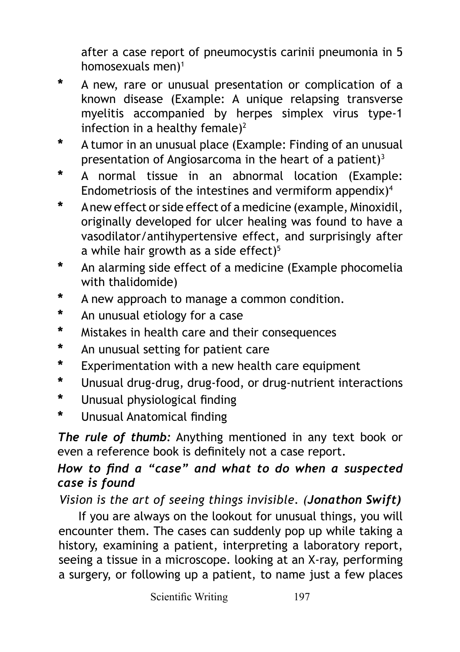after a case report of pneumocystis carinii pneumonia in 5 homosexuals men $)$ <sup>1</sup>

- **\*** A new, rare or unusual presentation or complication of a known disease (Example: A unique relapsing transverse myelitis accompanied by herpes simplex virus type-1 infection in a healthy female)<sup>2</sup>
- **\*** A tumor in an unusual place (Example: Finding of an unusual presentation of Angiosarcoma in the heart of a patient) $3$
- **\*** A normal tissue in an abnormal location (Example: Endometriosis of the intestines and vermiform appendix)4
- **\*** A new effect or side effect of a medicine (example, Minoxidil, originally developed for ulcer healing was found to have a vasodilator/antihypertensive effect, and surprisingly after a while hair growth as a side effect) $5$
- **\*** An alarming side effect of a medicine (Example phocomelia with thalidomide)
- **\*** A new approach to manage a common condition.
- **\*** An unusual etiology for a case
- **\*** Mistakes in health care and their consequences
- **\*** An unusual setting for patient care
- **\*** Experimentation with a new health care equipment
- **\*** Unusual drug-drug, drug-food, or drug-nutrient interactions
- **\*** Unusual physiological finding
- **\*** Unusual Anatomical finding

*The rule of thumb:* Anything mentioned in any text book or even a reference book is definitely not a case report.

### *How to find a "case" and what to do when a suspected case is found*

*Vision is the art of seeing things invisible. (Jonathon Swift)*

If you are always on the lookout for unusual things, you will encounter them. The cases can suddenly pop up while taking a history, examining a patient, interpreting a laboratory report, seeing a tissue in a microscope. looking at an X-ray, performing a surgery, or following up a patient, to name just a few places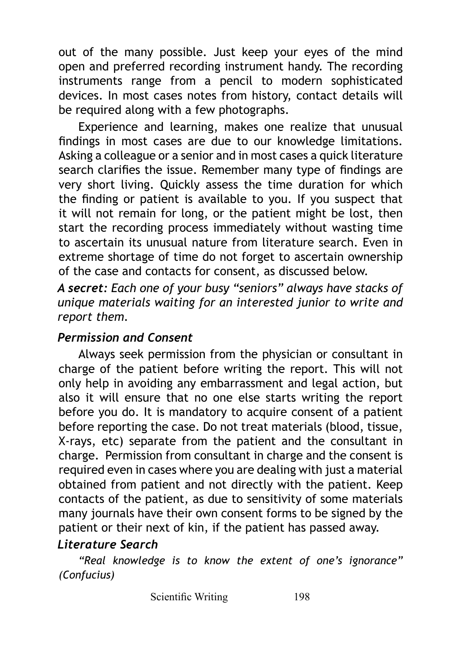out of the many possible. Just keep your eyes of the mind open and preferred recording instrument handy. The recording instruments range from a pencil to modern sophisticated devices. In most cases notes from history, contact details will be required along with a few photographs.

Experience and learning, makes one realize that unusual findings in most cases are due to our knowledge limitations. Asking a colleague or a senior and in most cases a quick literature search clarifies the issue. Remember many type of findings are very short living. Quickly assess the time duration for which the finding or patient is available to you. If you suspect that it will not remain for long, or the patient might be lost, then start the recording process immediately without wasting time to ascertain its unusual nature from literature search. Even in extreme shortage of time do not forget to ascertain ownership of the case and contacts for consent, as discussed below.

*A secret: Each one of your busy "seniors" always have stacks of unique materials waiting for an interested junior to write and report them.*

#### *Permission and Consent*

Always seek permission from the physician or consultant in charge of the patient before writing the report. This will not only help in avoiding any embarrassment and legal action, but also it will ensure that no one else starts writing the report before you do. It is mandatory to acquire consent of a patient before reporting the case. Do not treat materials (blood, tissue, X-rays, etc) separate from the patient and the consultant in charge. Permission from consultant in charge and the consent is required even in cases where you are dealing with just a material obtained from patient and not directly with the patient. Keep contacts of the patient, as due to sensitivity of some materials many journals have their own consent forms to be signed by the patient or their next of kin, if the patient has passed away.

#### *Literature Search*

*"Real knowledge is to know the extent of one's ignorance" (Confucius)*

Scientific Writing 198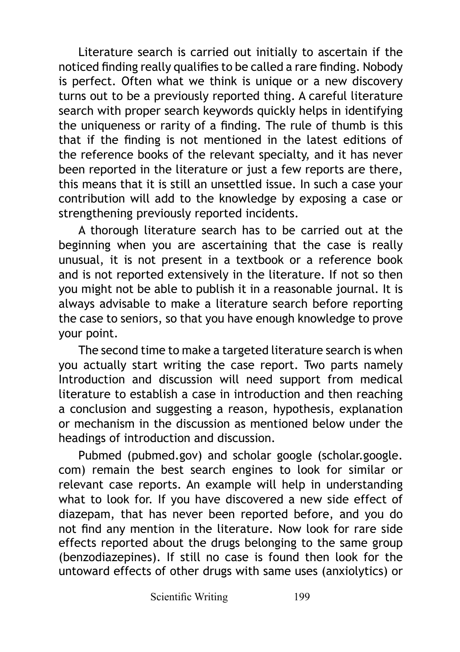Literature search is carried out initially to ascertain if the noticed finding really qualifies to be called a rare finding. Nobody is perfect. Often what we think is unique or a new discovery turns out to be a previously reported thing. A careful literature search with proper search keywords quickly helps in identifying the uniqueness or rarity of a finding. The rule of thumb is this that if the finding is not mentioned in the latest editions of the reference books of the relevant specialty, and it has never been reported in the literature or just a few reports are there, this means that it is still an unsettled issue. In such a case your contribution will add to the knowledge by exposing a case or strengthening previously reported incidents.

A thorough literature search has to be carried out at the beginning when you are ascertaining that the case is really unusual, it is not present in a textbook or a reference book and is not reported extensively in the literature. If not so then you might not be able to publish it in a reasonable journal. It is always advisable to make a literature search before reporting the case to seniors, so that you have enough knowledge to prove your point.

The second time to make a targeted literature search is when you actually start writing the case report. Two parts namely Introduction and discussion will need support from medical literature to establish a case in introduction and then reaching a conclusion and suggesting a reason, hypothesis, explanation or mechanism in the discussion as mentioned below under the headings of introduction and discussion.

Pubmed (pubmed.gov) and scholar google (scholar.google. com) remain the best search engines to look for similar or relevant case reports. An example will help in understanding what to look for. If you have discovered a new side effect of diazepam, that has never been reported before, and you do not find any mention in the literature. Now look for rare side effects reported about the drugs belonging to the same group (benzodiazepines). If still no case is found then look for the untoward effects of other drugs with same uses (anxiolytics) or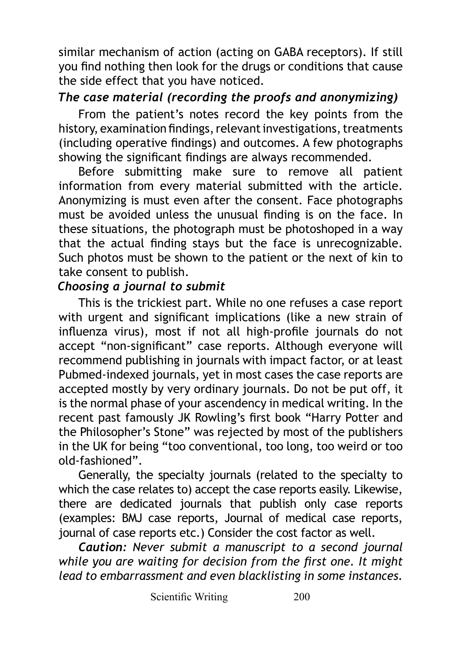similar mechanism of action (acting on GABA receptors). If still you find nothing then look for the drugs or conditions that cause the side effect that you have noticed.

#### *The case material (recording the proofs and anonymizing)*

From the patient's notes record the key points from the history, examination findings, relevant investigations, treatments (including operative findings) and outcomes. A few photographs showing the significant findings are always recommended.

Before submitting make sure to remove all patient information from every material submitted with the article. Anonymizing is must even after the consent. Face photographs must be avoided unless the unusual finding is on the face. In these situations, the photograph must be photoshoped in a way that the actual finding stays but the face is unrecognizable. Such photos must be shown to the patient or the next of kin to take consent to publish.

#### *Choosing a journal to submit*

This is the trickiest part. While no one refuses a case report with urgent and significant implications (like a new strain of influenza virus), most if not all high-profile journals do not accept "non-significant" case reports. Although everyone will recommend publishing in journals with impact factor, or at least Pubmed-indexed journals, yet in most cases the case reports are accepted mostly by very ordinary journals. Do not be put off, it is the normal phase of your ascendency in medical writing. In the recent past famously JK Rowling's first book "Harry Potter and the Philosopher's Stone" was rejected by most of the publishers in the UK for being "too conventional, too long, too weird or too old-fashioned".

Generally, the specialty journals (related to the specialty to which the case relates to) accept the case reports easily. Likewise, there are dedicated journals that publish only case reports (examples: BMJ case reports, Journal of medical case reports, journal of case reports etc.) Consider the cost factor as well.

*Caution: Never submit a manuscript to a second journal while you are waiting for decision from the first one. It might lead to embarrassment and even blacklisting in some instances.*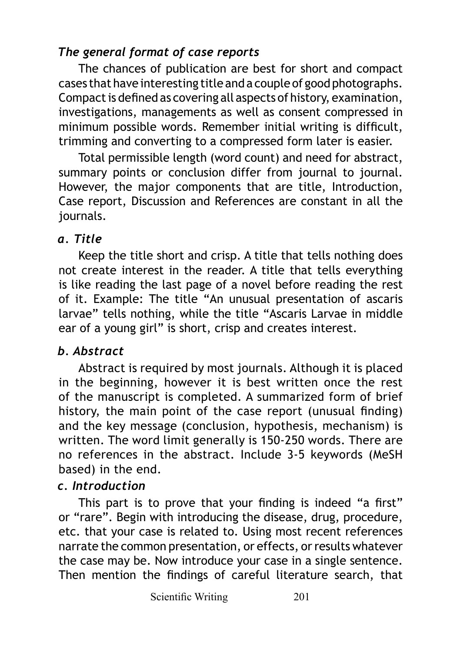# *The general format of case reports*

The chances of publication are best for short and compact cases that have interesting title and a couple of good photographs. Compact is defined as covering all aspects of history, examination, investigations, managements as well as consent compressed in minimum possible words. Remember initial writing is difficult, trimming and converting to a compressed form later is easier.

Total permissible length (word count) and need for abstract, summary points or conclusion differ from journal to journal. However, the major components that are title, Introduction, Case report, Discussion and References are constant in all the journals.

### *a. Title*

Keep the title short and crisp. A title that tells nothing does not create interest in the reader. A title that tells everything is like reading the last page of a novel before reading the rest of it. Example: The title "An unusual presentation of ascaris larvae" tells nothing, while the title "Ascaris Larvae in middle ear of a young girl" is short, crisp and creates interest.

## *b. Abstract*

Abstract is required by most journals. Although it is placed in the beginning, however it is best written once the rest of the manuscript is completed. A summarized form of brief history, the main point of the case report (unusual finding) and the key message (conclusion, hypothesis, mechanism) is written. The word limit generally is 150-250 words. There are no references in the abstract. Include 3-5 keywords (MeSH based) in the end.

# *c. Introduction*

This part is to prove that your finding is indeed "a first" or "rare". Begin with introducing the disease, drug, procedure, etc. that your case is related to. Using most recent references narrate the common presentation, or effects, or results whatever the case may be. Now introduce your case in a single sentence. Then mention the findings of careful literature search, that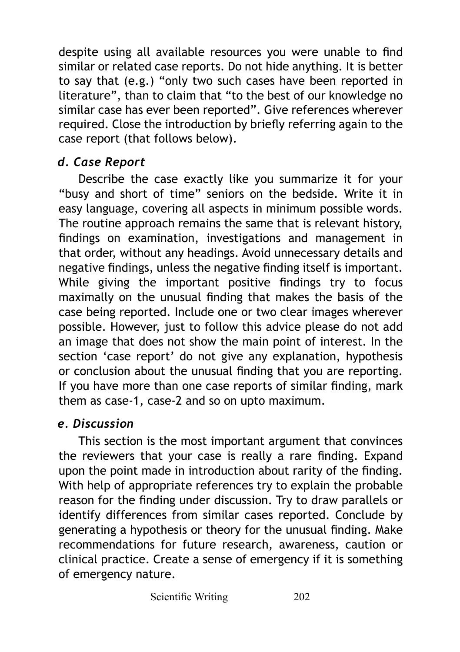despite using all available resources you were unable to find similar or related case reports. Do not hide anything. It is better to say that (e.g.) "only two such cases have been reported in literature", than to claim that "to the best of our knowledge no similar case has ever been reported". Give references wherever required. Close the introduction by briefly referring again to the case report (that follows below).

# *d. Case Report*

Describe the case exactly like you summarize it for your "busy and short of time" seniors on the bedside. Write it in easy language, covering all aspects in minimum possible words. The routine approach remains the same that is relevant history, findings on examination, investigations and management in that order, without any headings. Avoid unnecessary details and negative findings, unless the negative finding itself is important. While giving the important positive findings try to focus maximally on the unusual finding that makes the basis of the case being reported. Include one or two clear images wherever possible. However, just to follow this advice please do not add an image that does not show the main point of interest. In the section 'case report' do not give any explanation, hypothesis or conclusion about the unusual finding that you are reporting. If you have more than one case reports of similar finding, mark them as case-1, case-2 and so on upto maximum.

## *e. Discussion*

This section is the most important argument that convinces the reviewers that your case is really a rare finding. Expand upon the point made in introduction about rarity of the finding. With help of appropriate references try to explain the probable reason for the finding under discussion. Try to draw parallels or identify differences from similar cases reported. Conclude by generating a hypothesis or theory for the unusual finding. Make recommendations for future research, awareness, caution or clinical practice. Create a sense of emergency if it is something of emergency nature.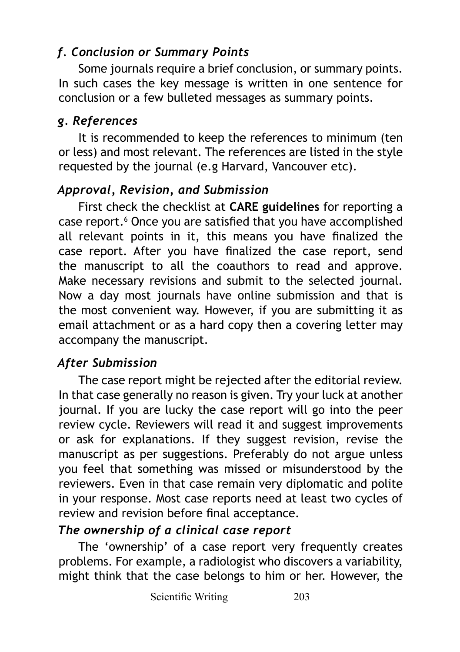# *f. Conclusion or Summary Points*

Some journals require a brief conclusion, or summary points. In such cases the key message is written in one sentence for conclusion or a few bulleted messages as summary points.

# *g. References*

It is recommended to keep the references to minimum (ten or less) and most relevant. The references are listed in the style requested by the journal (e.g Harvard, Vancouver etc).

# *Approval, Revision, and Submission*

First check the checklist at **CARE guidelines** for reporting a case report.<sup>6</sup> Once you are satisfied that you have accomplished all relevant points in it, this means you have finalized the case report. After you have finalized the case report, send the manuscript to all the coauthors to read and approve. Make necessary revisions and submit to the selected journal. Now a day most journals have online submission and that is the most convenient way. However, if you are submitting it as email attachment or as a hard copy then a covering letter may accompany the manuscript.

# *After Submission*

The case report might be rejected after the editorial review. In that case generally no reason is given. Try your luck at another journal. If you are lucky the case report will go into the peer review cycle. Reviewers will read it and suggest improvements or ask for explanations. If they suggest revision, revise the manuscript as per suggestions. Preferably do not argue unless you feel that something was missed or misunderstood by the reviewers. Even in that case remain very diplomatic and polite in your response. Most case reports need at least two cycles of review and revision before final acceptance.

# *The ownership of a clinical case report*

The 'ownership' of a case report very frequently creates problems. For example, a radiologist who discovers a variability, might think that the case belongs to him or her. However, the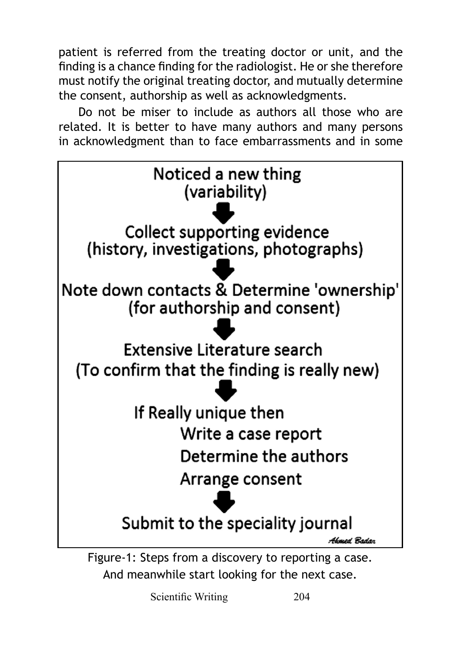patient is referred from the treating doctor or unit, and the finding is a chance finding for the radiologist. He or she therefore must notify the original treating doctor, and mutually determine the consent, authorship as well as acknowledgments.

Do not be miser to include as authors all those who are related. It is better to have many authors and many persons in acknowledgment than to face embarrassments and in some



And meanwhile start looking for the next case.

Scientific Writing 204